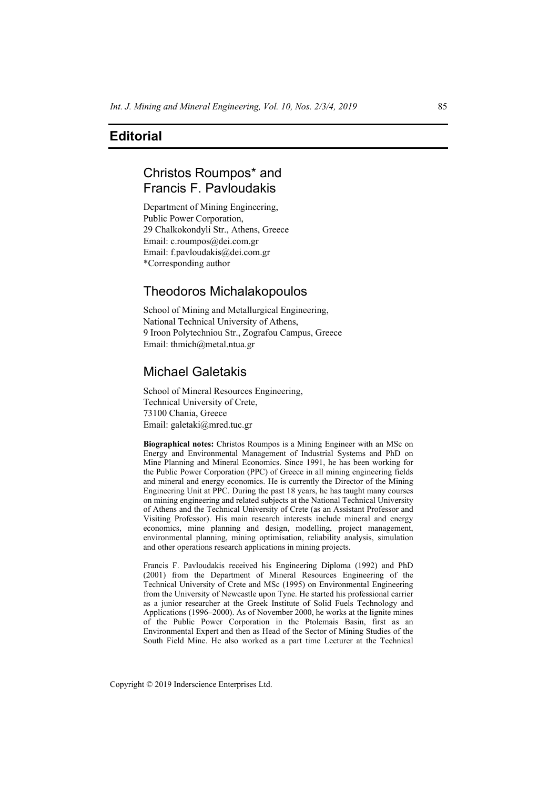## **Editorial**

# Christos Roumpos\* and Francis F. Pavloudakis

Department of Mining Engineering, Public Power Corporation, 29 Chalkokondyli Str., Athens, Greece Email: c.roumpos@dei.com.gr Email: f.pavloudakis@dei.com.gr \*Corresponding author

## Theodoros Michalakopoulos

School of Mining and Metallurgical Engineering, National Technical University of Athens, 9 Iroon Polytechniou Str., Zografou Campus, Greece Email: thmich@metal.ntua.gr

## Michael Galetakis

School of Mineral Resources Engineering, Technical University of Crete, 73100 Chania, Greece Email: galetaki@mred.tuc.gr

**Biographical notes:** Christos Roumpos is a Mining Engineer with an MSc on Energy and Environmental Management of Industrial Systems and PhD on Mine Planning and Mineral Economics. Since 1991, he has been working for the Public Power Corporation (PPC) of Greece in all mining engineering fields and mineral and energy economics. He is currently the Director of the Mining Engineering Unit at PPC. During the past 18 years, he has taught many courses on mining engineering and related subjects at the National Technical University of Athens and the Technical University of Crete (as an Assistant Professor and Visiting Professor). His main research interests include mineral and energy economics, mine planning and design, modelling, project management, environmental planning, mining optimisation, reliability analysis, simulation and other operations research applications in mining projects.

Francis F. Pavloudakis received his Engineering Diploma (1992) and PhD (2001) from the Department of Mineral Resources Engineering of the Technical University of Crete and MSc (1995) on Environmental Engineering from the University of Newcastle upon Tyne. He started his professional carrier as a junior researcher at the Greek Institute of Solid Fuels Technology and Applications (1996–2000). As of November 2000, he works at the lignite mines of the Public Power Corporation in the Ptolemais Basin, first as an Environmental Expert and then as Head of the Sector of Mining Studies of the South Field Mine. He also worked as a part time Lecturer at the Technical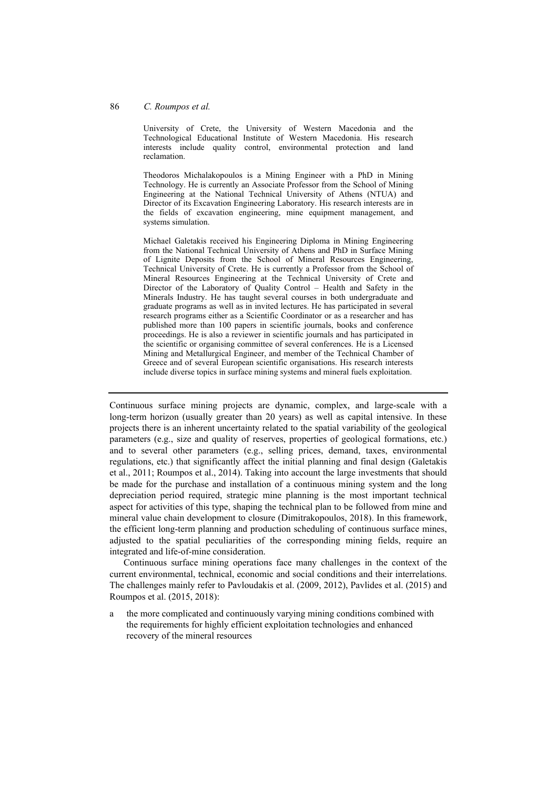#### 86 *C. Roumpos et al.*

University of Crete, the University of Western Macedonia and the Technological Educational Institute of Western Macedonia. His research interests include quality control, environmental protection and land reclamation.

Theodoros Michalakopoulos is a Mining Engineer with a PhD in Mining Technology. He is currently an Associate Professor from the School of Mining Engineering at the National Technical University of Athens (NTUA) and Director of its Excavation Engineering Laboratory. His research interests are in the fields of excavation engineering, mine equipment management, and systems simulation.

Michael Galetakis received his Engineering Diploma in Mining Engineering from the National Technical University of Athens and PhD in Surface Mining of Lignite Deposits from the School of Mineral Resources Engineering, Technical University of Crete. He is currently a Professor from the School of Mineral Resources Engineering at the Technical University of Crete and Director of the Laboratory of Quality Control – Health and Safety in the Minerals Industry. He has taught several courses in both undergraduate and graduate programs as well as in invited lectures. He has participated in several research programs either as a Scientific Coordinator or as a researcher and has published more than 100 papers in scientific journals, books and conference proceedings. He is also a reviewer in scientific journals and has participated in the scientific or organising committee of several conferences. He is a Licensed Mining and Metallurgical Engineer, and member of the Technical Chamber of Greece and of several European scientific organisations. His research interests include diverse topics in surface mining systems and mineral fuels exploitation.

Continuous surface mining projects are dynamic, complex, and large-scale with a long-term horizon (usually greater than 20 years) as well as capital intensive. In these projects there is an inherent uncertainty related to the spatial variability of the geological parameters (e.g., size and quality of reserves, properties of geological formations, etc.) and to several other parameters (e.g., selling prices, demand, taxes, environmental regulations, etc.) that significantly affect the initial planning and final design (Galetakis et al., 2011; Roumpos et al., 2014). Taking into account the large investments that should be made for the purchase and installation of a continuous mining system and the long depreciation period required, strategic mine planning is the most important technical aspect for activities of this type, shaping the technical plan to be followed from mine and mineral value chain development to closure (Dimitrakopoulos, 2018). In this framework, the efficient long-term planning and production scheduling of continuous surface mines, adjusted to the spatial peculiarities of the corresponding mining fields, require an integrated and life-of-mine consideration.

Continuous surface mining operations face many challenges in the context of the current environmental, technical, economic and social conditions and their interrelations. The challenges mainly refer to Pavloudakis et al. (2009, 2012), Pavlides et al. (2015) and Roumpos et al. (2015, 2018):

a the more complicated and continuously varying mining conditions combined with the requirements for highly efficient exploitation technologies and enhanced recovery of the mineral resources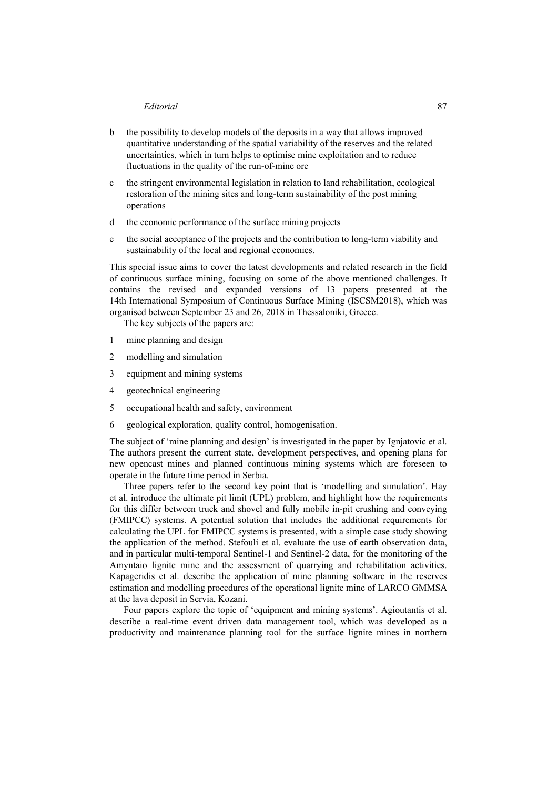#### *Editorial* 87

- b the possibility to develop models of the deposits in a way that allows improved quantitative understanding of the spatial variability of the reserves and the related uncertainties, which in turn helps to optimise mine exploitation and to reduce fluctuations in the quality of the run-of-mine ore
- c the stringent environmental legislation in relation to land rehabilitation, ecological restoration of the mining sites and long-term sustainability of the post mining operations
- d the economic performance of the surface mining projects
- e the social acceptance of the projects and the contribution to long-term viability and sustainability of the local and regional economies.

This special issue aims to cover the latest developments and related research in the field of continuous surface mining, focusing on some of the above mentioned challenges. It contains the revised and expanded versions of 13 papers presented at the 14th International Symposium of Continuous Surface Mining (ISCSM2018), which was organised between September 23 and 26, 2018 in Thessaloniki, Greece.

The key subjects of the papers are:

- 1 mine planning and design
- 2 modelling and simulation
- 3 equipment and mining systems
- 4 geotechnical engineering
- 5 occupational health and safety, environment
- 6 geological exploration, quality control, homogenisation.

The subject of 'mine planning and design' is investigated in the paper by Ignjatovic et al. The authors present the current state, development perspectives, and opening plans for new opencast mines and planned continuous mining systems which are foreseen to operate in the future time period in Serbia.

Three papers refer to the second key point that is 'modelling and simulation'. Hay et al. introduce the ultimate pit limit (UPL) problem, and highlight how the requirements for this differ between truck and shovel and fully mobile in-pit crushing and conveying (FMIPCC) systems. A potential solution that includes the additional requirements for calculating the UPL for FMIPCC systems is presented, with a simple case study showing the application of the method. Stefouli et al. evaluate the use of earth observation data, and in particular multi-temporal Sentinel-1 and Sentinel-2 data, for the monitoring of the Amyntaio lignite mine and the assessment of quarrying and rehabilitation activities. Kapageridis et al. describe the application of mine planning software in the reserves estimation and modelling procedures of the operational lignite mine of LARCO GMMSA at the lava deposit in Servia, Kozani.

Four papers explore the topic of 'equipment and mining systems'. Agioutantis et al. describe a real-time event driven data management tool, which was developed as a productivity and maintenance planning tool for the surface lignite mines in northern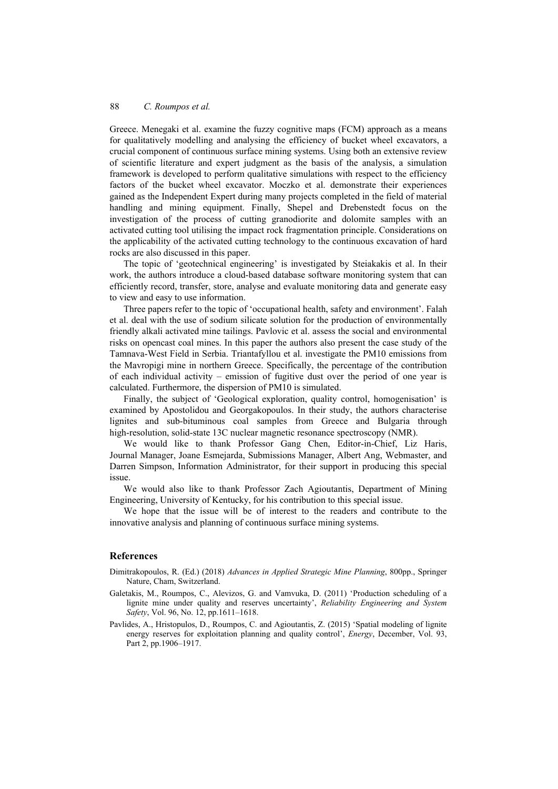Greece. Menegaki et al. examine the fuzzy cognitive maps (FCM) approach as a means for qualitatively modelling and analysing the efficiency of bucket wheel excavators, a crucial component of continuous surface mining systems. Using both an extensive review of scientific literature and expert judgment as the basis of the analysis, a simulation framework is developed to perform qualitative simulations with respect to the efficiency factors of the bucket wheel excavator. Moczko et al. demonstrate their experiences gained as the Independent Expert during many projects completed in the field of material handling and mining equipment. Finally, Shepel and Drebenstedt focus on the investigation of the process of cutting granodiorite and dolomite samples with an activated cutting tool utilising the impact rock fragmentation principle. Considerations on the applicability of the activated cutting technology to the continuous excavation of hard rocks are also discussed in this paper.

The topic of 'geotechnical engineering' is investigated by Steiakakis et al. In their work, the authors introduce a cloud-based database software monitoring system that can efficiently record, transfer, store, analyse and evaluate monitoring data and generate easy to view and easy to use information.

Three papers refer to the topic of 'occupational health, safety and environment'. Falah et al. deal with the use of sodium silicate solution for the production of environmentally friendly alkali activated mine tailings. Pavlovic et al. assess the social and environmental risks on opencast coal mines. In this paper the authors also present the case study of the Tamnava-West Field in Serbia. Triantafyllou et al. investigate the PM10 emissions from the Mavropigi mine in northern Greece. Specifically, the percentage of the contribution of each individual activity – emission of fugitive dust over the period of one year is calculated. Furthermore, the dispersion of PM10 is simulated.

Finally, the subject of 'Geological exploration, quality control, homogenisation' is examined by Apostolidou and Georgakopoulos. In their study, the authors characterise lignites and sub-bituminous coal samples from Greece and Bulgaria through high-resolution, solid-state 13C nuclear magnetic resonance spectroscopy (NMR).

We would like to thank Professor Gang Chen, Editor-in-Chief, Liz Haris, Journal Manager, Joane Esmejarda, Submissions Manager, Albert Ang, Webmaster, and Darren Simpson, Information Administrator, for their support in producing this special issue.

We would also like to thank Professor Zach Agioutantis, Department of Mining Engineering, University of Kentucky, for his contribution to this special issue.

We hope that the issue will be of interest to the readers and contribute to the innovative analysis and planning of continuous surface mining systems.

#### **References**

- Dimitrakopoulos, R. (Ed.) (2018) *Advances in Applied Strategic Mine Planning*, 800pp., Springer Nature, Cham, Switzerland.
- Galetakis, Μ., Roumpos, C., Alevizos, G. and Vamvuka, D. (2011) 'Production scheduling of a lignite mine under quality and reserves uncertainty', *Reliability Engineering and System Safety*, Vol. 96, No. 12, pp.1611–1618.
- Pavlides, A., Hristopulos, D., Roumpos, C. and Agioutantis, Z. (2015) 'Spatial modeling of lignite energy reserves for exploitation planning and quality control', *Energy*, December, Vol. 93, Part 2, pp.1906–1917.